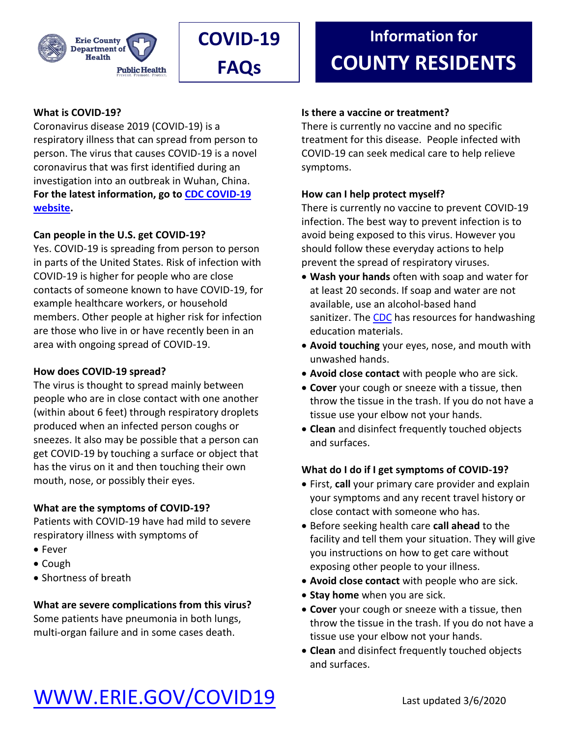



## **What is COVID-19?**

Coronavirus disease 2019 (COVID-19) is a respiratory illness that can spread from person to person. The virus that causes COVID-19 is a novel coronavirus that was first identified during an investigation into an outbreak in Wuhan, China. **For the latest information, go to [CDC COVID-19](https://www.cdc.gov/coronavirus/2019-nCoV/index.html)  [website.](https://www.cdc.gov/coronavirus/2019-nCoV/index.html)**

## **Can people in the U.S. get COVID-19?**

Yes. COVID-19 is spreading from person to person in parts of the United States. Risk of infection with COVID-19 is higher for people who are close contacts of someone known to have COVID-19, for example healthcare workers, or household members. Other people at higher risk for infection are those who live in or have recently been in an area with ongoing spread of COVID-19.

## **How does COVID-19 spread?**

The virus is thought to spread mainly between people who are in close contact with one another (within about 6 feet) through respiratory droplets produced when an infected person coughs or sneezes. It also may be possible that a person can get COVID-19 by touching a surface or object that has the virus on it and then touching their own mouth, nose, or possibly their eyes.

## **What are the symptoms of COVID-19?**

Patients with COVID-19 have had mild to severe respiratory illness with symptoms of

- Fever
- Cough
- Shortness of breath

## **What are severe complications from this virus?**

Some patients have pneumonia in both lungs, multi-organ failure and in some cases death.

## **Information for COUNTY RESIDENTS**

#### **Is there a vaccine or treatment?**

There is currently no vaccine and no specific treatment for this disease. People infected with COVID-19 can seek medical care to help relieve symptoms.

#### **How can I help protect myself?**

There is currently no vaccine to prevent COVID-19 infection. The best way to prevent infection is to avoid being exposed to this virus. However you should follow these everyday actions to help prevent the spread of respiratory viruses.

- **Wash your hands** often with soap and water for at least 20 seconds. If soap and water are not available, use an alcohol-based hand sanitizer. Th[e CDC](https://www.cdc.gov/handwashing/index.html) has resources for handwashing education materials.
- **Avoid touching** your eyes, nose, and mouth with unwashed hands.
- **Avoid close contact** with people who are sick.
- **Cover** your cough or sneeze with a tissue, then throw the tissue in the trash. If you do not have a tissue use your elbow not your hands.
- **Clean** and disinfect frequently touched objects and surfaces.

#### **What do I do if I get symptoms of COVID-19?**

- First, **call** your primary care provider and explain your symptoms and any recent travel history or close contact with someone who has.
- Before seeking health care **call ahead** to the facility and tell them your situation. They will give you instructions on how to get care without exposing other people to your illness.
- **Avoid close contact** with people who are sick.
- **Stay home** when you are sick.
- **Cover** your cough or sneeze with a tissue, then throw the tissue in the trash. If you do not have a tissue use your elbow not your hands.
- **Clean** and disinfect frequently touched objects and surfaces.

## [WWW.ERIE.GOV/COVID19](http://www.erie.gov/COVID19) Last updated 3/6/2020